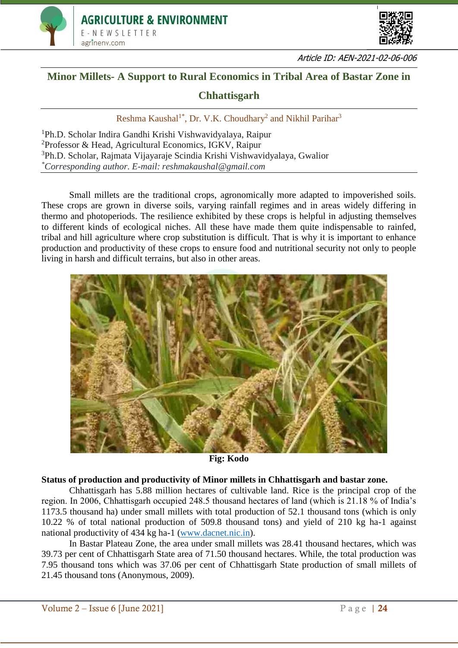



Article ID: AEN-2021-02-06-006

## **Minor Millets- A Support to Rural Economics in Tribal Area of Bastar Zone in**

### **Chhattisgarh**

Reshma Kaushal<sup>1\*</sup>, Dr. V.K. Choudhary<sup>2</sup> and Nikhil Parihar<sup>3</sup>

Ph.D. Scholar Indira Gandhi Krishi Vishwavidyalaya, Raipur Professor & Head, Agricultural Economics, IGKV, Raipur Ph.D. Scholar, Rajmata Vijayaraje Scindia Krishi Vishwavidyalaya, Gwalior *\*Corresponding author. E-mail: reshmakaushal@gmail.com*

Small millets are the traditional crops, agronomically more adapted to impoverished soils. These crops are grown in diverse soils, varying rainfall regimes and in areas widely differing in thermo and photoperiods. The resilience exhibited by these crops is helpful in adjusting themselves to different kinds of ecological niches. All these have made them quite indispensable to rainfed, tribal and hill agriculture where crop substitution is difficult. That is why it is important to enhance production and productivity of these crops to ensure food and nutritional security not only to people living in harsh and difficult terrains, but also in other areas.



**Fig: Kodo**

### **Status of production and productivity of Minor millets in Chhattisgarh and bastar zone.**

Chhattisgarh has 5.88 million hectares of cultivable land. Rice is the principal crop of the region. In 2006, Chhattisgarh occupied 248.5 thousand hectares of land (which is 21.18 % of India's 1173.5 thousand ha) under small millets with total production of 52.1 thousand tons (which is only 10.22 % of total national production of 509.8 thousand tons) and yield of 210 kg ha-1 against national productivity of 434 kg ha-1 [\(www.dacnet.nic.in\)](http://www.dacnet.nic.in/).

In Bastar Plateau Zone, the area under small millets was 28.41 thousand hectares, which was 39.73 per cent of Chhattisgarh State area of 71.50 thousand hectares. While, the total production was 7.95 thousand tons which was 37.06 per cent of Chhattisgarh State production of small millets of 21.45 thousand tons (Anonymous, 2009).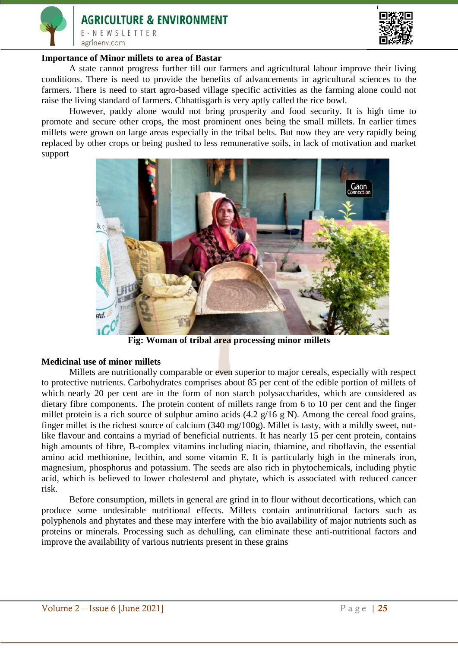# **AGRICULTURE & ENVIRONMENT** E-NEWSLETTER agrinenv.com



#### **Importance of Minor millets to area of Bastar**

A state cannot progress further till our farmers and agricultural labour improve their living conditions. There is need to provide the benefits of advancements in agricultural sciences to the farmers. There is need to start agro-based village specific activities as the farming alone could not raise the living standard of farmers. Chhattisgarh is very aptly called the rice bowl.

However, paddy alone would not bring prosperity and food security. It is high time to promote and secure other crops, the most prominent ones being the small millets. In earlier times millets were grown on large areas especially in the tribal belts. But now they are very rapidly being replaced by other crops or being pushed to less remunerative soils, in lack of motivation and market support



**Fig: Woman of tribal area processing minor millets**

#### **Medicinal use of minor millets**

Millets are nutritionally comparable or even superior to major cereals, especially with respect to protective nutrients. Carbohydrates comprises about 85 per cent of the edible portion of millets of which nearly 20 per cent are in the form of non starch polysaccharides, which are considered as dietary fibre components. The protein content of millets range from 6 to 10 per cent and the finger millet protein is a rich source of sulphur amino acids  $(4.2 \text{ g}/16 \text{ g N})$ . Among the cereal food grains, finger millet is the richest source of calcium (340 mg/100g). Millet is tasty, with a mildly sweet, nutlike flavour and contains a myriad of beneficial nutrients. It has nearly 15 per cent protein, contains high amounts of fibre, B-complex vitamins including niacin, thiamine, and riboflavin, the essential amino acid methionine, lecithin, and some vitamin E. It is particularly high in the minerals iron, magnesium, phosphorus and potassium. The seeds are also rich in phytochemicals, including phytic acid, which is believed to lower cholesterol and phytate, which is associated with reduced cancer risk.

Before consumption, millets in general are grind in to flour without decortications, which can produce some undesirable nutritional effects. Millets contain antinutritional factors such as polyphenols and phytates and these may interfere with the bio availability of major nutrients such as proteins or minerals. Processing such as dehulling, can eliminate these anti-nutritional factors and improve the availability of various nutrients present in these grains